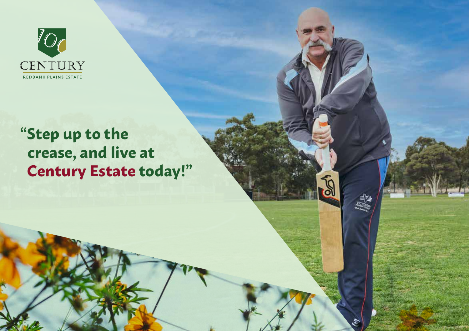

## **"Step up to the crease, and live at Century Estate today!"**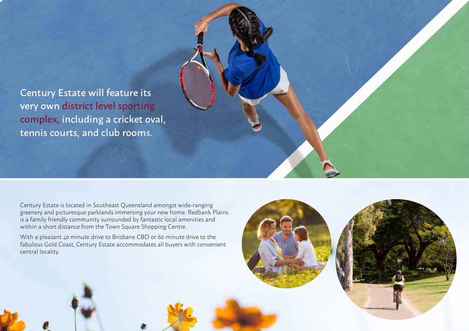Century Estate will feature its very own district level sporting complex, including a cricket oval, tennis courts, and club rooms.

Century Estate is located in Southeast Queensland amongst wide-ranging greenery and picturesque parklands immersing your new home. Redbank Plains is a family friendly community surrounded by fantastic local amenities and within a short distance from the Town Square Shopping Centre.

With a pleasant 40 minute drive to Brisbane CBD or 60 minute drive to the fabulous Gold Coast, Century Estate accommodates all buyers with convenient central locality.



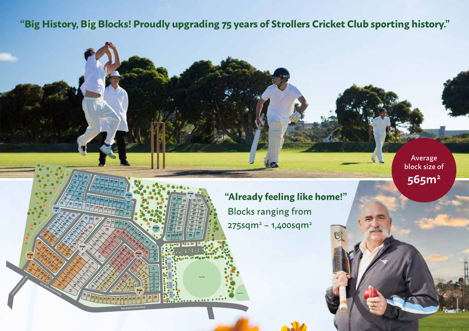## **"Big History, Big Blocks! Proudly upgrading 75 years of Strollers Cricket Club sporting history."**

**RED BANK PLAINS ROAD**

**171** 485m2 **170** 450m2 **169** 450m2 **168** 450m2 **167** 525m2 **166** 450m2 **165** 450m2 **164** 450m2 **163** 700m2 **146** 625m2 **145** 450m2 **144** 450m2 **143** 525m2 **142** 450m2 **141** 450m2 **140** 450m2 **139** 485m2 **138** 805m2 **137 136 135 134** 525m2 **133** 525m2 **132** 515m2 **131** 515m2 **130** 525m2 **129 128 127** 450m2 **126** 795m2 **125 124** 825m2 **123** 665m2 **122 121 120**

 $\sum_{i=1}^n$ 17.5 18.5 30

16.5 <sup>30</sup>

 $\propto$ 

9.8 7.2

19.4 37.4 34.8 32.2

 $\begin{picture}(130,17) \put(0,0){\line(1,0){155}} \put(15,0){\line(1,0){155}} \put(15,0){\line(1,0){155}} \put(15,0){\line(1,0){155}} \put(15,0){\line(1,0){155}} \put(15,0){\line(1,0){155}} \put(15,0){\line(1,0){155}} \put(15,0){\line(1,0){155}} \put(15,0){\line(1,0){155}} \put(15,0){\line(1,0){155}} \put(15,0){\line(1,0){155}}$ 

17.5

15

**Stage 6**

> **Stage 3**

 $\sum_{i,j}$  Si

17.5  $\searrow$ 

باسك

f. 22.4

23.4

 $\frac{1}{3}$ 

**232** 510m2 **231** 450m2 **230** 450m2 **229** 525m2 **228** 525m2 **227** 450m2 **226** 450m2 **225** 525m2 **224** 800m2

17.4  $\sum_{i=1}^n$ 

30 17.5 17.5 17.5 17.5 30 17.5

17.5 17.5

15 17.5

30.1

17.3

15 17.5 17.5 17.5 14.5 2.2

**114** 810m2 **115** 800m2 **116** 800m2 **117** 800m2 **118** 800m2 **119** 1100m2

 $\left\langle \right\rangle$ 

**67** 1415m2 **68** 810m2 **69** 800m2 **70** 800m2 **71** 800m2 **72** 800m2 **73** 800m2 **74** 9002 **75** 965m2 **76** 820m2 **77** 820m2 **78 79** 820m2 **80** 840m2 **81**

17.5 35.9 47.7 18.4

> **66** 575m2 **65** 510m2 **64** 385m2 **63** 455m2 **62** 495m2 **<sup>61</sup>** 450m2 **<sup>60</sup>** 450m2 **59** 59 58<br>223m<sup>2</sup> 570m2 **57** 415m2 **55** 56 55<br><sub>com</sub><sup>1</sup> <sub>5</sub>com<sup>2</sup> 500m2

17.5 17.5

**49** 630m2 **48** 450m2 **47** 450m2 **46** 450m2 **45** 450m2 **44** 525m2 **43** 450m2 **42** 450m2 **41** 450m2 **40** 525m2 **39** 450m2 **38 37 36**

15 30

29.4 14.4

 $\bigvee$ 

20.8

2 15 L 2

17.5

**203** 525m2 **204** 525m2 **205** 450m2 **206** 525m2 **208** 450m2 **209** 450m2 **210 207** 450m2

 $17.5$ 

**222** 765m2 **223 181** 760m2 **180** 450m2 **179** 525m2 **178** 450m2 **177** 450m2 **176** 525m2 **175 174** 450m2 **173** 450m2 **172** 510m2

 $1.5$  17.5  $1.5$ 

20.8  $\left\langle \right\rangle$ 

13.7 12.5  $\frac{1}{450}$ 7.5

> 17.5 f\ 17.5

العلمات

Retained Book Water

**Stage 8**

20.6 40.1 20.4

**RED BANK PLAINS ROAD**

**620** 16

22.7 29 12.5 12.1  $\mathbf{c}_i$ 28.9

33.5

12.5 10.2

17.5

**34** 450m2 525m2 **32** 450m2 **31 30 29** 525m2 **28** 450m2 **27** 450m2 **26** 450m2 **25**

17.5

 $\frac{3}{3}$ 30 15

**100** 585m2

 $\boldsymbol{\varphi}$ 

4

 $\gamma$ 

**213** 815m2 **212** 450m2 **211**

> **Stage 4**

**Stage 1**

> **233** 560m2 **234 251 252** 585m2 **253** *Egem*

**Playground**

 $\frac{1}{2}$ 

**250** 745m2 **249 248** 450m2 **247** 450m2 **246** 525m2 **245** 525m2 **244** 805m2 **261** 261 262 630m2 **263** 530m2 **260** 450m2 **259** 450m2 **258** 450m2 **257** 450m2 **256** 525m2 **255** 450m2 **254** 450m2 **268** 450m2 **900 267** 525m2 **266** 450m2 **265** 450m2 **264** 450m2

يا سما<u>ني</u><br>ك0 30 ك

12.5 12.5

18.2 30

**243 242** 590m2 **241** 525m2 **240** 525m2 450m2 **238** 450m2 **237** 450m2 **236** 450m2 **235** 495m2

1<br>1 f,

|<br>|-<br>|-

**6**

525m2 **2** 425m2 **<sup>1</sup>** 475m2 **50 53 52 51 50 660m**<sup>2</sup> 54 **53** 500m2

**4**

12.5 15

**Stage 2**

> ر<br>ال 14 | 15 | 15 | 15 | 15 | 15

> > **Cricket Pitch**

18.9 12.5 17.5

25.7

**Stage 5**

12.5 14.5 14.7

 $2.5$  13.5 13.1  $\frac{13}{20}$  20  $\frac{13}{20}$  20  $\frac{13}{20}$ 

425m2 375m2 **14** 630m2 **13** 655m2 **12** 450m2 **11 10** 485m2 **9** 485m2 **8** 450m2 **7** 860m2

 $\sum_{i=1}^n$ 

12.1

10.2

14.3

43.2 28.2  $\leq$ 16.5 15

32.6

**Stage 7**

**191** 560m2 **192 193 194** 525m2 **195 196** 450m2 **197 184** 575m2 **185** 660m2 **186** 525m2 **187** 525m2 **188** 525m2 **189** 525m2 **190** 855m2

> د لمه  $15/206$   $\sqrt{15/5}$

<u>18.5 المسلمين ال</u>

 $\frac{217}{216}$   $\frac{215}{200}$   $\frac{2}{45}$  $2 + 5$ 

**214 215** 450m2 **216** 450m2 **217 218** 525m2 **219 220 221** 525m2 **182** 510m2 **183** 500m2 **162** 450m2 **161 160** 695m2 **159** 840m2 **158** 680m2 **157** 720m2 **156** 560m2 800m2 **154** 450m2 585m2 **152 151** 525m2 **150** 525m2 **149** 525m2 **148** 450m2 **147** 680m<sup>2</sup>

> **101** 450m2 **102** 450m2 **103 104** 635m2 **105** 1275m2 **106** 800m2 **107** 800m2 **108** 800m2 **109** 800m2 **110** 900m2 **111** 965m2 **112 113** 820m2

 $1575$ 

15.5 17.5 13.5 <sup>15</sup> <sup>15</sup> 15

15 17.5

28

17.5 17.5 17.5

41.9  $\epsilon$ 41.1 29.1

15

Average block size of **565m2**

**"Already feeling like home!"** Blocks ranging from  $275$ sqm $^{2}$  – 1,400sqm $^{2}$ 

**A**